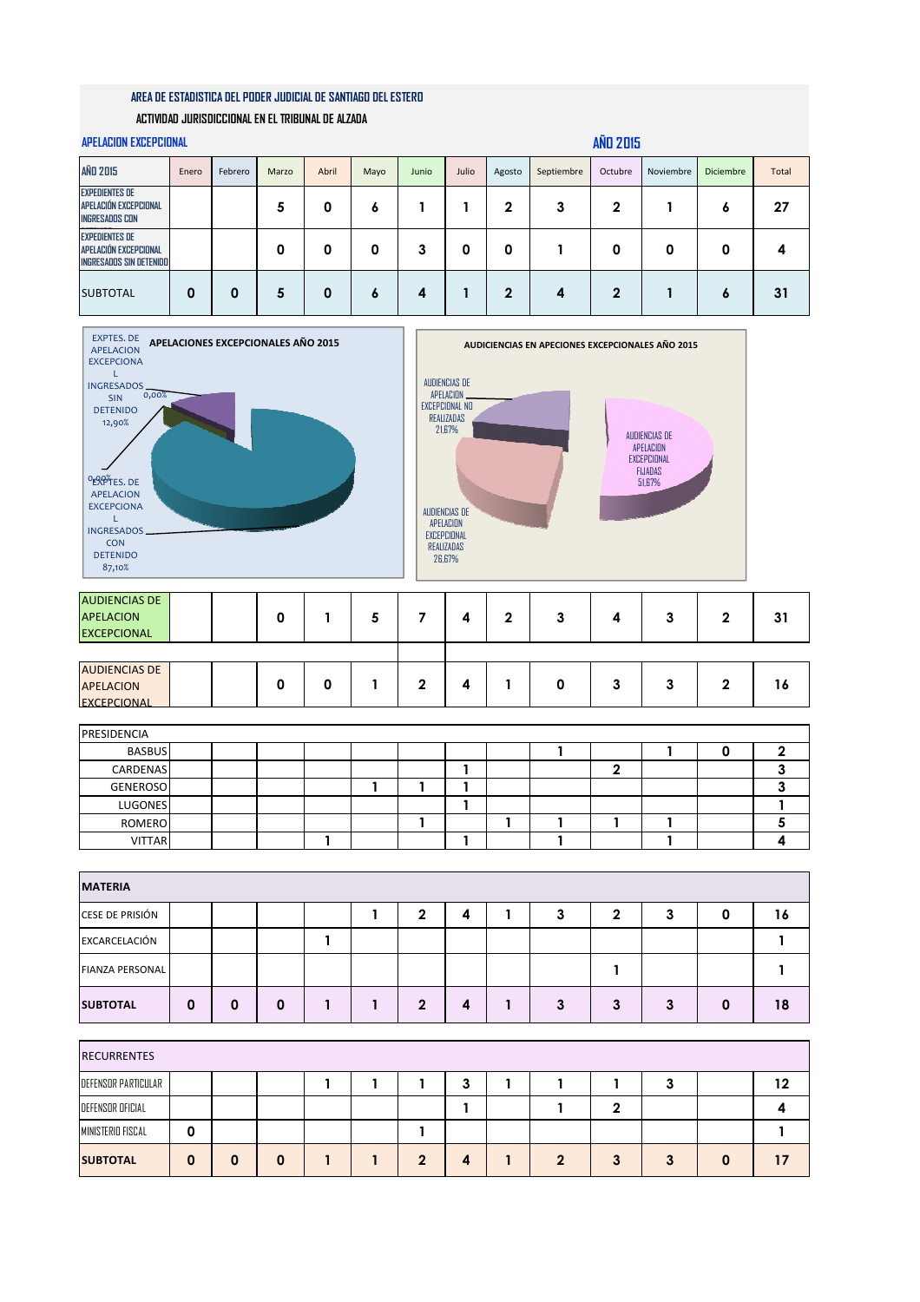## **AREA DE ESTADISTICA DEL PODER JUDICIAL DE SANTIAGO DEL ESTERO**

## **ACTIVIDAD JURISDICCIONAL EN EL TRIBUNAL DE ALZADA**

| <b>APELACION EXCEPCIONAL</b>                                              |       |         |       |          |      |       |       |              |            | <b>AÑD 2015</b> |           |                  |              |
|---------------------------------------------------------------------------|-------|---------|-------|----------|------|-------|-------|--------------|------------|-----------------|-----------|------------------|--------------|
| <b>AÑD 2015</b>                                                           | Enero | Febrero | Marzo | Abril    | Mayo | Junio | Julio | Agosto       | Septiembre | Octubre         | Noviembre | <b>Diciembre</b> | <b>Total</b> |
| <b>EXPEDIENTES DE</b><br>APELACIÓN EXCEPCIONAL<br><b>INGRESADOS CON</b>   |       |         | 5     | 0        | ٥    |       |       | $\mathbf{2}$ | 3          | 2               |           | 6                | 27           |
| <b>EXPEDIENTES DE</b><br>APELACIÓN EXCEPCIONAL<br>INGRESADOS SIN DETENIDO |       |         | 0     | 0        | 0    | 3     | 0     | 0            |            | 0               | 0         | 0                |              |
| <b>SUBTOTAL</b>                                                           | 0     | 0       | 5     | $\bf{0}$ | 6    | 4     |       | $\mathbf{2}$ | 4          | $\mathbf 2$     |           | 6                | 31           |
|                                                                           |       |         |       |          |      |       |       |              |            |                 |           |                  |              |



| <b>AUDIENCIAS DE</b><br><b>APELACION</b><br><b>EXCEPCIONAL</b> |  | O |   |  |   | າ |  | v | 31 |
|----------------------------------------------------------------|--|---|---|--|---|---|--|---|----|
|                                                                |  |   |   |  |   |   |  |   |    |
| <b>AUDIENCIAS DE</b>                                           |  |   |   |  |   |   |  |   |    |
| <b>APELACION</b>                                               |  | 0 | O |  | ◢ |   |  | v | 16 |
| <b>EXCEPCIONAL</b>                                             |  |   |   |  |   |   |  |   |    |

| PRESIDENCIA     |  |  |  |  |  |  |  |
|-----------------|--|--|--|--|--|--|--|
| <b>BASBUS</b>   |  |  |  |  |  |  |  |
| CARDENAS        |  |  |  |  |  |  |  |
| <b>GENEROSO</b> |  |  |  |  |  |  |  |
| LUGONES         |  |  |  |  |  |  |  |
| ROMERO          |  |  |  |  |  |  |  |
| <b>VITTAR</b>   |  |  |  |  |  |  |  |

| <b>MATERIA</b>         |   |   |   |  |  |   |   |  |   |   |          |   |    |
|------------------------|---|---|---|--|--|---|---|--|---|---|----------|---|----|
| CESE DE PRISIÓN        |   |   |   |  |  |   | 4 |  |   | n | -2<br>v. |   | 16 |
| EXCARCELACIÓN          |   |   |   |  |  |   |   |  |   |   |          |   |    |
| <b>FIANZA PERSONAL</b> |   |   |   |  |  |   |   |  |   |   |          |   |    |
| <b>SUBTOTAL</b>        | 0 | 0 | 0 |  |  | 2 | 4 |  | з |   | 3        | 0 | 18 |

| <b>RECURRENTES</b>  |  |   |  |   |         |  |   |  |    |
|---------------------|--|---|--|---|---------|--|---|--|----|
| DEFENSOR PARTICULAR |  |   |  |   | .,<br>J |  |   |  | 12 |
| DEFENSOR OFICIAL    |  |   |  |   |         |  |   |  |    |
| MINISTERIO FISCAL   |  |   |  |   |         |  |   |  |    |
| <b>SUBTOTAL</b>     |  | 0 |  | ∍ | 4       |  | æ |  |    |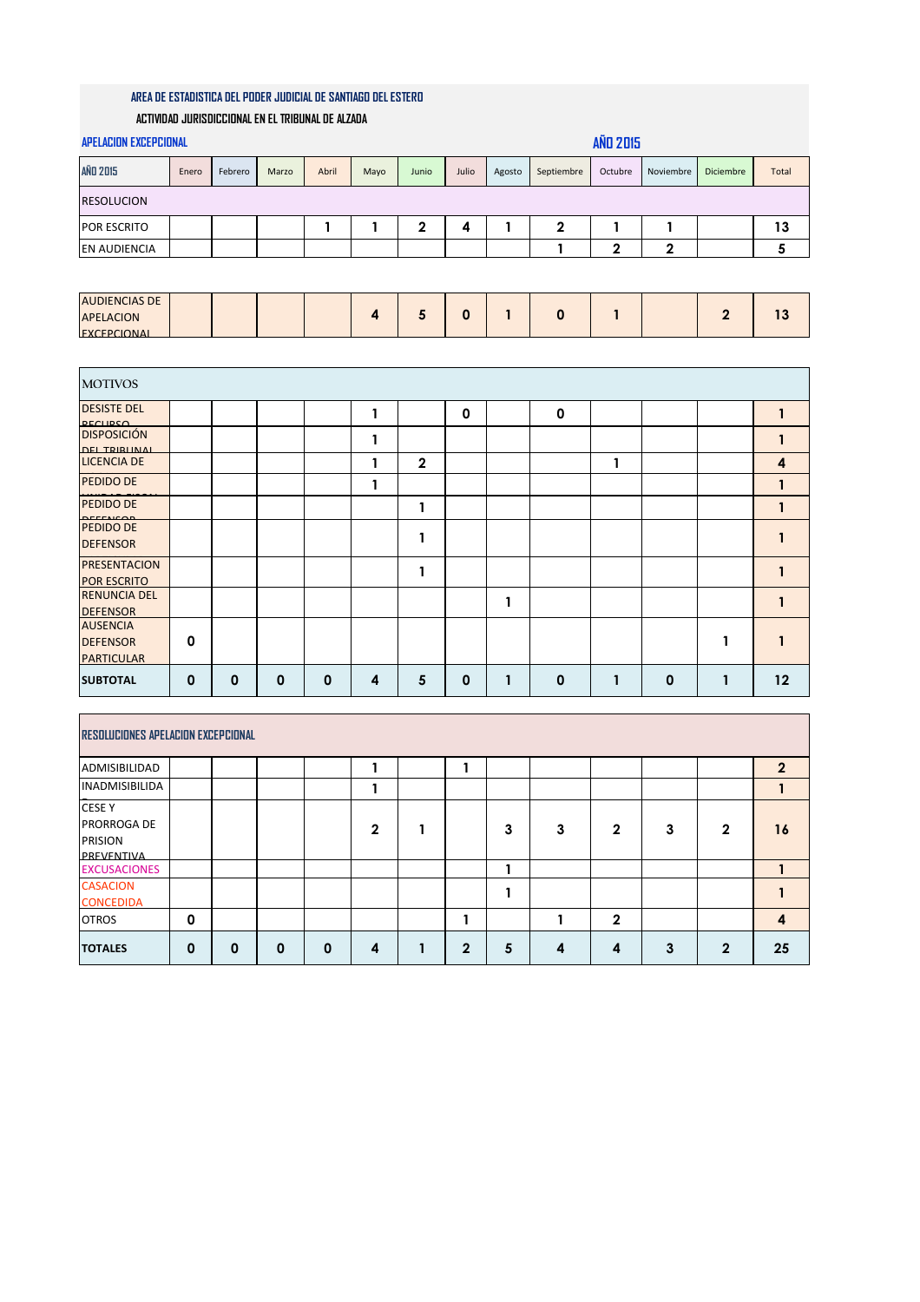## **AREA DE ESTADISTICA DEL PODER JUDICIAL DE SANTIAGO DEL ESTERO**

## **ACTIVIDAD JURISDICCIONAL EN EL TRIBUNAL DE ALZADA**

| <b>APELACION EXCEPCIONAL</b>                    |       |         |       |              |                |                |          |              |                  | <b>AÑD 2015</b> |              |                |                         |
|-------------------------------------------------|-------|---------|-------|--------------|----------------|----------------|----------|--------------|------------------|-----------------|--------------|----------------|-------------------------|
| <b>AÑO 2015</b>                                 | Enero | Febrero | Marzo | Abril        | Mayo           | Junio          | Julio    | Agosto       | Septiembre       | Octubre         | Noviembre    | Diciembre      | Total                   |
| <b>RESOLUCION</b>                               |       |         |       |              |                |                |          |              |                  |                 |              |                |                         |
| POR ESCRITO                                     |       |         |       | $\mathbf{1}$ | 1              | $\mathbf 2$    | 4        | 1            | $\boldsymbol{2}$ | 1               | $\mathbf{1}$ |                | 13                      |
| <b>EN AUDIENCIA</b>                             |       |         |       |              |                |                |          |              | 1                | $\mathbf{2}$    | $\mathbf 2$  |                | 5                       |
|                                                 |       |         |       |              |                |                |          |              |                  |                 |              |                |                         |
| <b>AUDIENCIAS DE</b>                            |       |         |       |              |                |                |          |              |                  |                 |              |                |                         |
| <b>APELACION</b><br><b>FXCEPCIONAL</b>          |       |         |       |              | $\overline{4}$ | 5              | $\bf{0}$ | $\mathbf{1}$ | $\mathbf 0$      | $\mathbf{1}$    |              | $\overline{2}$ | 13                      |
|                                                 |       |         |       |              |                |                |          |              |                  |                 |              |                |                         |
| <b>MOTIVOS</b>                                  |       |         |       |              |                |                |          |              |                  |                 |              |                |                         |
| <b>DESISTE DEL</b>                              |       |         |       |              | 1              |                | 0        |              | $\mathbf 0$      |                 |              |                | 1                       |
| <b>DECLIDSO</b><br><b>DISPOSICIÓN</b>           |       |         |       |              |                |                |          |              |                  |                 |              |                |                         |
| <b>DEL TRIBUNAL</b>                             |       |         |       |              | 1              |                |          |              |                  |                 |              |                | 1                       |
| <b>LICENCIA DE</b>                              |       |         |       |              | 1              | $\overline{2}$ |          |              |                  | 1               |              |                | $\overline{\mathbf{4}}$ |
| <b>PEDIDO DE</b>                                |       |         |       |              | 1              |                |          |              |                  |                 |              |                | $\mathbf{1}$            |
| <b>PEDIDO DE</b>                                |       |         |       |              |                | 1              |          |              |                  |                 |              |                | 1                       |
| <b>DEEEMCOR</b><br>PEDIDO DE<br><b>DEFENSOR</b> |       |         |       |              |                | 1              |          |              |                  |                 |              |                |                         |
| <b>PRESENTACION</b><br><b>POR ESCRITO</b>       |       |         |       |              |                | 1              |          |              |                  |                 |              |                | 1                       |

| <b>SUBTOTAL</b>              | O | O | 0 |  | Ω | n | Ω | 12 |
|------------------------------|---|---|---|--|---|---|---|----|
| <b>PARTICULAR</b>            |   |   |   |  |   |   |   |    |
| <b>DEFENSOR</b>              | 0 |   |   |  |   |   |   |    |
| <b>AUSENCIA</b>              |   |   |   |  |   |   |   |    |
| <b>DEFENSOR</b>              |   |   |   |  |   |   |   |    |
| <b>RENUNCIA DEL</b>          |   |   |   |  |   |   |   |    |
| <b>POR ESCRITO</b>           |   |   |   |  |   |   |   |    |
| <b>PRESENTACION</b>          |   |   |   |  |   |   |   |    |
| PEDIDO DE<br><b>DEFENSOR</b> |   |   |   |  |   |   |   |    |

| RESOLUCIONES APELACION EXCEPCIONAL                           |             |              |   |   |   |              |   |   |              |   |             |                         |
|--------------------------------------------------------------|-------------|--------------|---|---|---|--------------|---|---|--------------|---|-------------|-------------------------|
| <b>ADMISIBILIDAD</b>                                         |             |              |   |   |   |              |   |   |              |   |             | $\overline{2}$          |
| <b>INADMISIBILIDA</b>                                        |             |              |   |   |   |              |   |   |              |   |             |                         |
| <b>CESE Y</b><br>PRORROGA DE<br><b>PRISION</b><br>PREVENTIVA |             |              |   |   | 2 |              | 3 | 3 | 2            | 3 | $\mathbf 2$ | 16                      |
| <b>EXCUSACIONES</b>                                          |             |              |   |   |   |              |   |   |              |   |             |                         |
| <b>CASACION</b><br><b>CONCEDIDA</b>                          |             |              |   |   |   |              |   |   |              |   |             |                         |
| <b>OTROS</b>                                                 | 0           |              |   |   |   |              |   |   | $\mathbf{2}$ |   |             | $\overline{\mathbf{4}}$ |
| <b>TOTALES</b>                                               | $\mathbf 0$ | $\mathbf{0}$ | 0 | 0 | 4 | $\mathbf{2}$ | 5 | 4 | 4            | 3 | $\mathbf 2$ | 25                      |